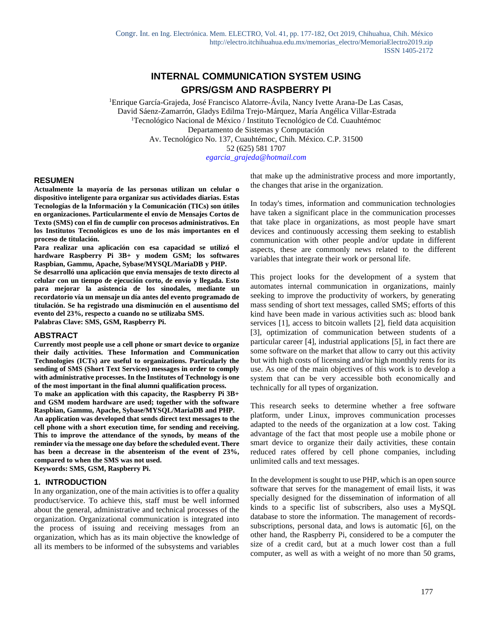# **INTERNAL COMMUNICATION SYSTEM USING GPRS/GSM AND RASPBERRY PI**

<sup>1</sup>Enrique García-Grajeda, José Francisco Alatorre-Ávila, Nancy Ivette Arana-De Las Casas, David Sáenz-Zamarrón, Gladys Edilma Trejo-Márquez, María Angélica Villar-Estrada <sup>1</sup>Tecnológico Nacional de México / Instituto Tecnológico de Cd. Cuauhtémoc Departamento de Sistemas y Computación Av. Tecnológico No. 137, Cuauhtémoc, Chih. México. C.P. 31500 52 (625) 581 1707

*egarcia\_grajeda@hotmail.com*

#### **RESUMEN**

**Actualmente la mayoría de las personas utilizan un celular o dispositivo inteligente para organizar sus actividades diarias. Estas Tecnologías de la Información y la Comunicación (TICs) son útiles en organizaciones. Particularmente el envío de Mensajes Cortos de Texto (SMS) con el fin de cumplir con procesos administrativos. En los Institutos Tecnológicos es uno de los más importantes en el proceso de titulación.** 

**Para realizar una aplicación con esa capacidad se utilizó el hardware Raspberry Pi 3B+ y modem GSM; los softwares Raspbian, Gammu, Apache, Sybase/MYSQL/MariaDB y PHP.**

**Se desarrolló una aplicación que envía mensajes de texto directo al celular con un tiempo de ejecución corto, de envío y llegada. Esto para mejorar la asistencia de los sinodales, mediante un recordatorio vía un mensaje un día antes del evento programado de titulación. Se ha registrado una disminución en el ausentismo del evento del 23%, respecto a cuando no se utilizaba SMS.**

**Palabras Clave: SMS, GSM, Raspberry Pi.**

#### **ABSTRACT**

**Currently most people use a cell phone or smart device to organize their daily activities. These Information and Communication Technologies (ICTs) are useful to organizations. Particularly the sending of SMS (Short Text Services) messages in order to comply with administrative processes. In the Institutes of Technology is one of the most important in the final alumni qualification process.**

**To make an application with this capacity, the Raspberry Pi 3B+ and GSM modem hardware are used; together with the software Raspbian, Gammu, Apache, Sybase/MYSQL/MariaDB and PHP. An application was developed that sends direct text messages to the cell phone with a short execution time, for sending and receiving. This to improve the attendance of the synods, by means of the reminder via the message one day before the scheduled event. There has been a decrease in the absenteeism of the event of 23%, compared to when the SMS was not used.**

**Keywords: SMS, GSM, Raspberry Pi.**

#### **1. INTRODUCTION**

In any organization, one of the main activities is to offer a quality product/service. To achieve this, staff must be well informed about the general, administrative and technical processes of the organization. Organizational communication is integrated into the process of issuing and receiving messages from an organization, which has as its main objective the knowledge of all its members to be informed of the subsystems and variables that make up the administrative process and more importantly, the changes that arise in the organization.

In today's times, information and communication technologies have taken a significant place in the communication processes that take place in organizations, as most people have smart devices and continuously accessing them seeking to establish communication with other people and/or update in different aspects, these are commonly news related to the different variables that integrate their work or personal life.

This project looks for the development of a system that automates internal communication in organizations, mainly seeking to improve the productivity of workers, by generating mass sending of short text messages, called SMS; efforts of this kind have been made in various activities such as: blood bank services [1], access to bitcoin wallets [2], field data acquisition [3], optimization of communication between students of a particular career [4], industrial applications [5], in fact there are some software on the market that allow to carry out this activity but with high costs of licensing and/or high monthly rents for its use. As one of the main objectives of this work is to develop a system that can be very accessible both economically and technically for all types of organization.

This research seeks to determine whether a free software platform, under Linux, improves communication processes adapted to the needs of the organization at a low cost. Taking advantage of the fact that most people use a mobile phone or smart device to organize their daily activities, these contain reduced rates offered by cell phone companies, including unlimited calls and text messages.

In the development is sought to use PHP, which is an open source software that serves for the management of email lists, it was specially designed for the dissemination of information of all kinds to a specific list of subscribers, also uses a MySQL database to store the information. The management of recordssubscriptions, personal data, and lows is automatic [6], on the other hand, the Raspberry Pi, considered to be a computer the size of a credit card, but at a much lower cost than a full computer, as well as with a weight of no more than 50 grams,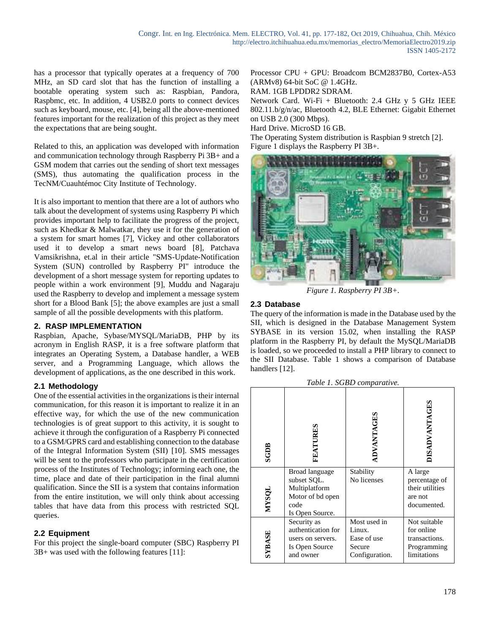has a processor that typically operates at a frequency of 700 MHz, an SD card slot that has the function of installing a bootable operating system such as: Raspbian, Pandora, Raspbmc, etc. In addition, 4 USB2.0 ports to connect devices such as keyboard, mouse, etc. [4], being all the above-mentioned features important for the realization of this project as they meet the expectations that are being sought.

Related to this, an application was developed with information and communication technology through Raspberry Pi 3B+ and a GSM modem that carries out the sending of short text messages (SMS), thus automating the qualification process in the TecNM/Cuauhtémoc City Institute of Technology.

It is also important to mention that there are a lot of authors who talk about the development of systems using Raspberry Pi which provides important help to facilitate the progress of the project, such as Khedkar & Malwatkar, they use it for the generation of a system for smart homes [7], Vickey and other collaborators used it to develop a smart news board [8], Patchava Vamsikrishna, et.al in their article "SMS-Update-Notification System (SUN) controlled by Raspberry PI" introduce the development of a short message system for reporting updates to people within a work environment [9], Muddu and Nagaraju used the Raspberry to develop and implement a message system short for a Blood Bank [5]; the above examples are just a small sample of all the possible developments with this platform.

### **2. RASP IMPLEMENTATION**

Raspbian, Apache, Sybase/MYSQL/MariaDB, PHP by its acronym in English RASP, it is a free software platform that integrates an Operating System, a Database handler, a WEB server, and a Programming Language, which allows the development of applications, as the one described in this work.

# **2.1 Methodology**

One of the essential activities in the organizations is their internal communication, for this reason it is important to realize it in an effective way, for which the use of the new communication technologies is of great support to this activity, it is sought to achieve it through the configuration of a Raspberry Pi connected to a GSM/GPRS card and establishing connection to the database of the Integral Information System (SII) [10]. SMS messages will be sent to the professors who participate in the certification process of the Institutes of Technology; informing each one, the time, place and date of their participation in the final alumni qualification. Since the SII is a system that contains information from the entire institution, we will only think about accessing tables that have data from this process with restricted SQL queries.

# **2.2 Equipment**

For this project the single-board computer (SBC) Raspberry PI 3B+ was used with the following features [11]:

Processor CPU + GPU: Broadcom BCM2837B0, Cortex-A53 (ARMv8) 64-bit SoC @ 1.4GHz.

RAM. 1GB LPDDR2 SDRAM.

Network Card. Wi-Fi + Bluetooth: 2.4 GHz y 5 GHz IEEE 802.11.b/g/n/ac, Bluetooth 4.2, BLE Ethernet: Gigabit Ethernet on USB 2.0 (300 Mbps).

Hard Drive. MicroSD 16 GB.

The Operating System distribution is Raspbian 9 stretch [2]. Figure 1 displays the Raspberry PI 3B+.



*Figure 1. Raspberry PI 3B+.*

# **2.3 Database**

The query of the information is made in the Database used by the SII, which is designed in the Database Management System SYBASE in its version 15.02, when installing the RASP platform in the Raspberry PI, by default the MySQL/MariaDB is loaded, so we proceeded to install a PHP library to connect to the SII Database. Table 1 shows a comparison of Database handlers [12].

| Tuble 1. SODD comparative. |                                                                                               |                                                                   |                                                                           |  |  |  |
|----------------------------|-----------------------------------------------------------------------------------------------|-------------------------------------------------------------------|---------------------------------------------------------------------------|--|--|--|
| <b>SGDB</b>                | FEATURES                                                                                      | ADVANTAGES                                                        | <b>JISADVANTAGES</b>                                                      |  |  |  |
| NYSQL                      | Broad language<br>subset SQL.<br>Multiplatform<br>Motor of bd open<br>code<br>Is Open Source. | Stability<br>No licenses                                          | A large<br>percentage of<br>their utilities<br>are not<br>documented.     |  |  |  |
| SYBASE                     | Security as<br>authentication for<br>users on servers.<br>Is Open Source<br>and owner         | Most used in<br>Linux.<br>Ease of use<br>Secure<br>Configuration. | Not suitable<br>for online<br>transactions.<br>Programming<br>limitations |  |  |  |

*Table 1. SGBD comparative.*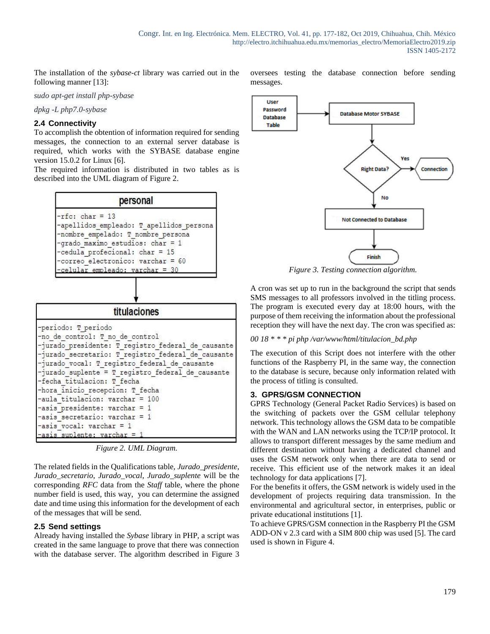The installation of the *sybase-ct* library was carried out in the following manner [13]:

*sudo apt-get install php-sybase*

*dpkg -L php7.0-sybase*

## **2.4 Connectivity**

To accomplish the obtention of information required for sending messages, the connection to an external server database is required, which works with the SYBASE database engine version 15.0.2 for Linux [6].

The required information is distributed in two tables as is described into the UML diagram of Figure 2.



*Figure 2. UML Diagram.*

The related fields in the Qualifications table, *Jurado\_presidente*, *Jurado\_secretario*, *Jurado\_vocal*, *Jurado\_suplente* will be the corresponding *RFC* data from the *Staff* table, where the phone number field is used, this way, you can determine the assigned date and time using this information for the development of each of the messages that will be send.

### **2.5 Send settings**

Already having installed the *Sybase* library in PHP, a script was created in the same language to prove that there was connection with the database server. The algorithm described in Figure 3 oversees testing the database connection before sending messages.



*Figure 3. Testing connection algorithm.*

A cron was set up to run in the background the script that sends SMS messages to all professors involved in the titling process. The program is executed every day at 18:00 hours, with the purpose of them receiving the information about the professional reception they will have the next day. The cron was specified as:

### *00 18 \* \* \* pi php /var/www/html/titulacion\_bd.php*

The execution of this Script does not interfere with the other functions of the Raspberry PI, in the same way, the connection to the database is secure, because only information related with the process of titling is consulted.

# **3. GPRS/GSM CONNECTION**

GPRS Technology (General Packet Radio Services) is based on the switching of packets over the GSM cellular telephony network. This technology allows the GSM data to be compatible with the WAN and LAN networks using the TCP/IP protocol. It allows to transport different messages by the same medium and different destination without having a dedicated channel and uses the GSM network only when there are data to send or receive. This efficient use of the network makes it an ideal technology for data applications [7].

For the benefits it offers, the GSM network is widely used in the development of projects requiring data transmission. In the environmental and agricultural sector, in enterprises, public or private educational institutions [1].

To achieve GPRS/GSM connection in the Raspberry PI the GSM ADD-ON v 2.3 card with a SIM 800 chip was used [5]. The card used is shown in Figure 4.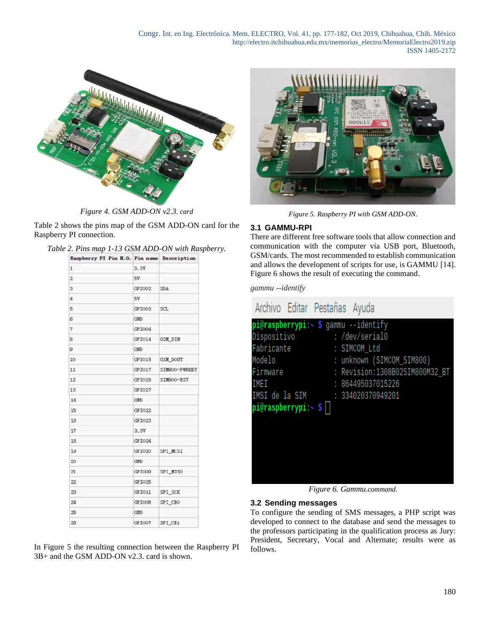Congr. Int. en Ing. Electrónica. Mem. ELECTRO, Vol. 41, pp. 177-182, Oct 2019, Chihuahua, Chih. México http://electro.itchihuahua.edu.mx/memorias\_electro/MemoriaElectro2019.zip ISSN 1405-2172



*Figure 4. GSM ADD-ON v2.3. card*

Table 2 shows the pins map of the GSM ADD-ON card for the Raspberry PI connection.

| Table 2. Pins map 1-13 GSM ADD-ON with Raspberry.                                                                                                                                                                                                                                                                                             |  |  |
|-----------------------------------------------------------------------------------------------------------------------------------------------------------------------------------------------------------------------------------------------------------------------------------------------------------------------------------------------|--|--|
| $P_{\text{max}}$ and $P_{\text{max}}$ and $P_{\text{max}}$ and $P_{\text{max}}$ and $P_{\text{max}}$ and $P_{\text{max}}$ and $P_{\text{max}}$ and $P_{\text{max}}$ and $P_{\text{max}}$ and $P_{\text{max}}$ and $P_{\text{max}}$ and $P_{\text{max}}$ and $P_{\text{max}}$ and $P_{\text{max}}$ and $P_{\text{max}}$ and $P_{\text{max}}$ a |  |  |

| Kaspberry Pl Pin N.O. Pin name Description |            |                 |
|--------------------------------------------|------------|-----------------|
| $\mathbf{1}$                               | 3.37       |                 |
| $\overline{c}$                             | 5۷         |                 |
| 3                                          | GPI002     | <b>SDA</b>      |
| 4                                          | <b>5V</b>  |                 |
| 5                                          | GPI003     | SCL             |
| б                                          | GND        |                 |
| 7                                          | GPI004     |                 |
| 8                                          | GPI014     | <b>GSM DIN</b>  |
| 9                                          | <b>GND</b> |                 |
| 10                                         | GPI015     | <b>GSM_DOUT</b> |
| 11                                         | GPI017     | SIMBOO-PWRKEY   |
| 12                                         | GPI018     | SIMBOO-RST      |
| 13                                         | GPI027     |                 |
| 14                                         | CMD:       |                 |
| 15                                         | GPI022     |                 |
| 15                                         | GPI023     |                 |
| 17                                         | 3.3V       |                 |
| 13                                         | GPI024     |                 |
| 13                                         | GP1010     | SPI MCSI        |
| 20                                         | <b>GND</b> |                 |
| 21                                         | GPTOOG     | SPI_MISO        |
| 22                                         | GP IO 25   |                 |
| 23                                         | GPI011     | SPI_SCK         |
| 24                                         | GPIOC8     | SPI CEO         |
| 25                                         | <b>GND</b> |                 |
| 25                                         | GP IOOT    | SPI CE1         |

In Figure 5 the resulting connection between the Raspberry PI 3B+ and the GSM ADD-ON v2.3. card is shown.



*Figure 5. Raspberry PI with GSM ADD-ON.*

## **3.1 GAMMU-RPI**

There are different free software tools that allow connection and communication with the computer via USB port, Bluetooth, GSM/cards. The most recommended to establish communication and allows the development of scripts for use, is GAMMU [14]. Figure 6 shows the result of executing the command.

*gammu --identify*

| Archivo Editar Pestañas Ayuda        |                         |                                |
|--------------------------------------|-------------------------|--------------------------------|
| pi@raspberrypi:~ \$ gammu --identify |                         |                                |
| Dispositivo                          |                         | : /dev/serial0                 |
| Fabricante                           |                         | : SIMCOM Ltd                   |
| Modelo                               | <u>ranski politik (</u> | : unknown (SIMCOM_SIM800)      |
| Firmware                             |                         | : Revision:1308B02SIM800M32_BT |
| IMEI                                 |                         | : 864495037015226              |
| IMSI de la SIM                       |                         | : 334020370949201              |
| pi@raspberrypi:~ \$                  |                         |                                |
|                                      |                         |                                |
|                                      |                         |                                |
|                                      |                         |                                |
|                                      |                         |                                |
|                                      |                         |                                |
|                                      |                         |                                |

*Figure 6. Gammu.command.*

### **3.2 Sending messages**

To configure the sending of SMS messages, a PHP script was developed to connect to the database and send the messages to the professors participating in the qualification process as Jury: President, Secretary, Vocal and Alternate; results were as follows.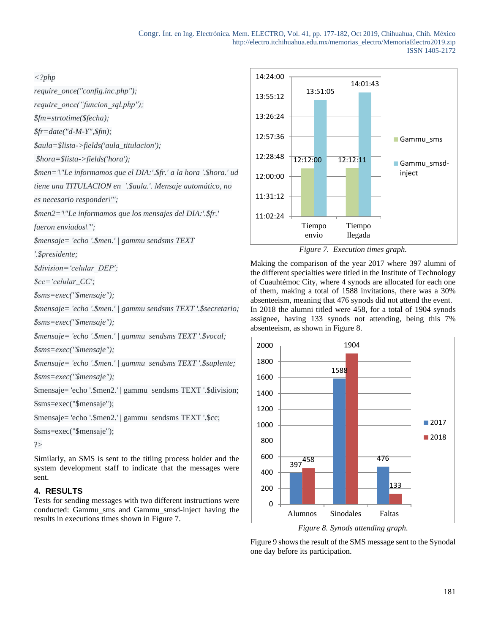#### *<?php*

*require\_once("config.inc.php");*

*require\_once("funcion\_sql.php");*

*\$fm=strtotime(\$fecha);*

*\$fr=date("d-M-Y",\$fm);*

*\$aula=\$lista->fields('aula\_titulacion');*

*\$hora=\$lista->fields('hora');*

*\$men='\"Le informamos que el DIA:'.\$fr.' a la hora '.\$hora.' ud*

*tiene una TITULACION en '.\$aula.'. Mensaje automático, no*

*es necesario responder\"';*

*\$men2='\"Le informamos que los mensajes del DIA:'.\$fr.'*

*fueron enviados\"';*

*\$mensaje= 'echo '.\$men.' | gammu sendsms TEXT*

*'.\$presidente;*

*\$division='celular\_DEP';*

*\$cc='celular\_CC';*

*\$sms=exec("\$mensaje");*

*\$mensaje= 'echo '.\$men.' | gammu sendsms TEXT '.\$secretario;*

*\$sms=exec("\$mensaje");*

*\$mensaje= 'echo '.\$men.' | gammu sendsms TEXT '.\$vocal;*

*\$sms=exec("\$mensaje");*

*\$mensaje= 'echo '.\$men.' | gammu sendsms TEXT '.\$suplente;*

*\$sms=exec("\$mensaje");*

\$mensaje= 'echo '.\$men2.' | gammu sendsms TEXT '.\$division;

\$sms=exec("\$mensaje");

\$mensaje= 'echo '.\$men2.' | gammu sendsms TEXT '.\$cc;

```
$sms=exec("$mensaje");
```

```
?>
```
Similarly, an SMS is sent to the titling process holder and the system development staff to indicate that the messages were sent.

### **4. RESULTS**

Tests for sending messages with two different instructions were conducted: Gammu\_sms and Gammu\_smsd-inject having the results in executions times shown in Figure 7.



*Figure 7. Execution times graph.*

Making the comparison of the year 2017 where 397 alumni of the different specialties were titled in the Institute of Technology of Cuauhtémoc City, where 4 synods are allocated for each one of them, making a total of 1588 invitations, there was a 30% absenteeism, meaning that 476 synods did not attend the event. In 2018 the alumni titled were 458, for a total of 1904 synods assignee, having 133 synods not attending, being this 7% absenteeism, as shown in Figure 8.



*Figure 8. Synods attending graph.*

Figure 9 shows the result of the SMS message sent to the Synodal one day before its participation.